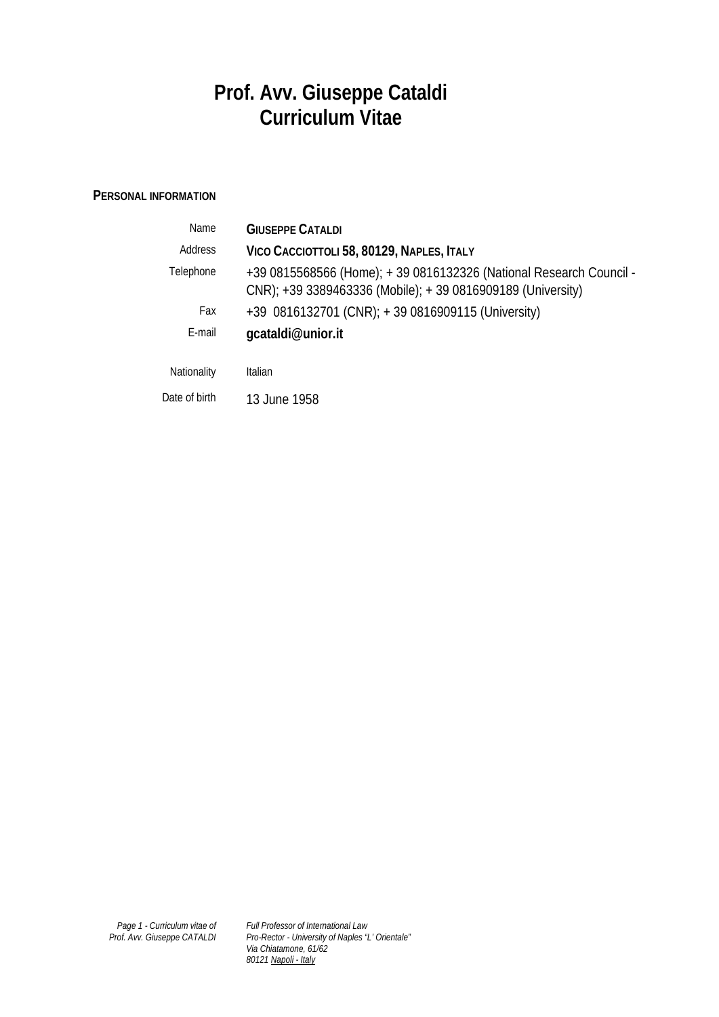# **Prof. Avv. Giuseppe Cataldi Curriculum Vitae**

## **PERSONAL INFORMATION**

| <b>Name</b>   | <b>GIUSEPPE CATALDI</b>                                                                                                              |
|---------------|--------------------------------------------------------------------------------------------------------------------------------------|
| Address       | VICO CACCIOTTOLI 58, 80129, NAPLES, ITALY                                                                                            |
| Telephone     | +39 0815568566 (Home); + 39 0816132326 (National Research Council -<br>$CNR$ ); +39 3389463336 (Mobile); +39 0816909189 (University) |
| Fax           | +39 0816132701 (CNR); + 39 0816909115 (University)                                                                                   |
| E-mail        | gcataldi@unior.it                                                                                                                    |
| Nationality   | Italian                                                                                                                              |
| Date of birth | 13 June 1958                                                                                                                         |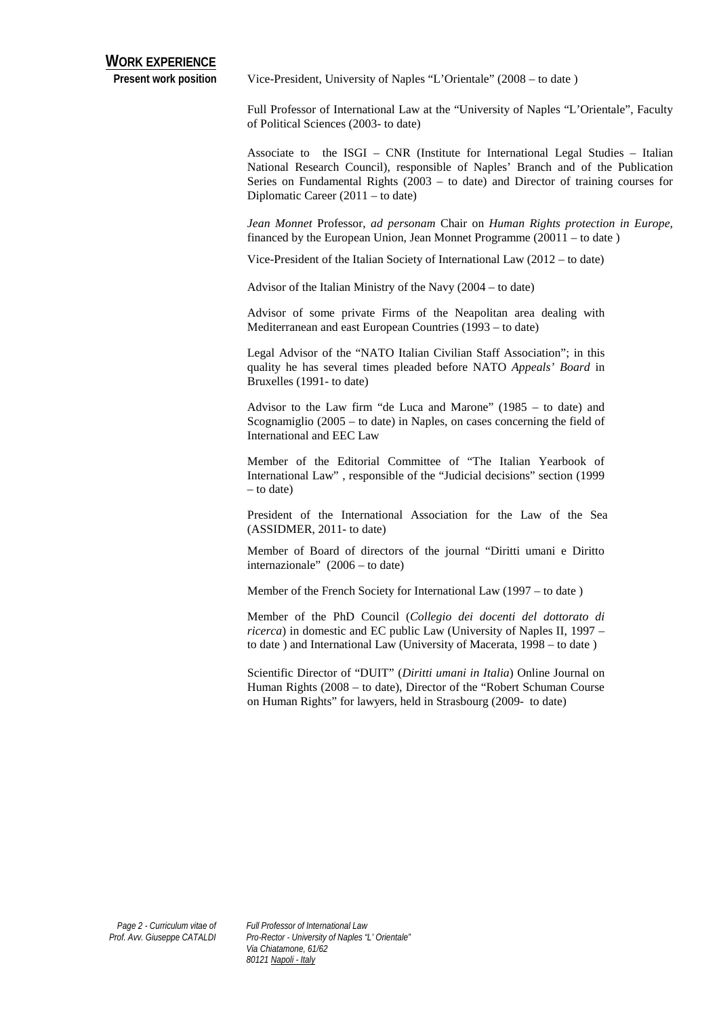Present work position Vice-President, University of Naples "L'Orientale" (2008 – to date)

Full Professor of International Law at the "University of Naples "L'Orientale", Faculty of Political Sciences (2003- to date)

Associate to the ISGI – CNR (Institute for International Legal Studies – Italian National Research Council), responsible of Naples' Branch and of the Publication Series on Fundamental Rights (2003 – to date) and Director of training courses for Diplomatic Career (2011 – to date)

*Jean Monnet* Professor, *ad personam* Chair on *Human Rights protection in Europe*, financed by the European Union, Jean Monnet Programme (20011 – to date )

Vice-President of the Italian Society of International Law (2012 – to date)

Advisor of the Italian Ministry of the Navy (2004 – to date)

Advisor of some private Firms of the Neapolitan area dealing with Mediterranean and east European Countries (1993 – to date)

Legal Advisor of the "NATO Italian Civilian Staff Association"; in this quality he has several times pleaded before NATO *Appeals' Board* in Bruxelles (1991- to date)

Advisor to the Law firm "de Luca and Marone" (1985 – to date) and Scognamiglio (2005 – to date) in Naples, on cases concerning the field of International and EEC Law

Member of the Editorial Committee of "The Italian Yearbook of International Law" , responsible of the "Judicial decisions" section (1999 – to date)

President of the International Association for the Law of the Sea (ASSIDMER, 2011- to date)

Member of Board of directors of the journal "Diritti umani e Diritto internazionale" (2006 – to date)

Member of the French Society for International Law (1997 – to date )

Member of the PhD Council (*Collegio dei docenti del dottorato di ricerca*) in domestic and EC public Law (University of Naples II, 1997 – to date ) and International Law (University of Macerata, 1998 – to date )

Scientific Director of "DUIT" (*Diritti umani in Italia*) Online Journal on Human Rights (2008 – to date), Director of the "Robert Schuman Course on Human Rights" for lawyers, held in Strasbourg (2009- to date)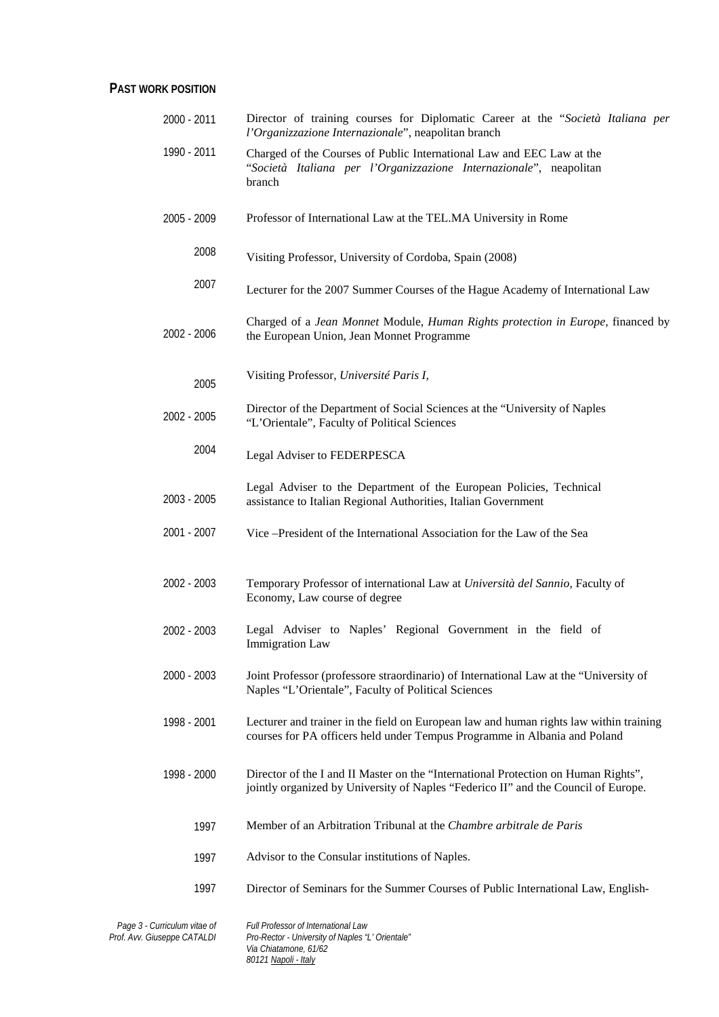#### **PAST WORK POSITION**

| 2000 - 2011 | Director of training courses for Diplomatic Career at the "Società Italiana per<br>l'Organizzazione Internazionale", neapolitan branch                                   |
|-------------|--------------------------------------------------------------------------------------------------------------------------------------------------------------------------|
| 1990 - 2011 | Charged of the Courses of Public International Law and EEC Law at the<br>"Società Italiana per l'Organizzazione Internazionale", neapolitan<br>branch                    |
| 2005 - 2009 | Professor of International Law at the TEL.MA University in Rome                                                                                                          |
| 2008        | Visiting Professor, University of Cordoba, Spain (2008)                                                                                                                  |
| 2007        | Lecturer for the 2007 Summer Courses of the Hague Academy of International Law                                                                                           |
| 2002 - 2006 | Charged of a Jean Monnet Module, Human Rights protection in Europe, financed by<br>the European Union, Jean Monnet Programme                                             |
| 2005        | Visiting Professor, Université Paris I,                                                                                                                                  |
| 2002 - 2005 | Director of the Department of Social Sciences at the "University of Naples<br>"L'Orientale", Faculty of Political Sciences                                               |
| 2004        | Legal Adviser to FEDERPESCA                                                                                                                                              |
| 2003 - 2005 | Legal Adviser to the Department of the European Policies, Technical<br>assistance to Italian Regional Authorities, Italian Government                                    |
| 2001 - 2007 | Vice – President of the International Association for the Law of the Sea                                                                                                 |
| 2002 - 2003 | Temporary Professor of international Law at Università del Sannio, Faculty of<br>Economy, Law course of degree                                                           |
| 2002 - 2003 | Legal Adviser to Naples' Regional Government in the field of<br>Immigration Law                                                                                          |
| 2000 - 2003 | Joint Professor (professore straordinario) of International Law at the "University of<br>Naples "L'Orientale", Faculty of Political Sciences                             |
| 1998 - 2001 | Lecturer and trainer in the field on European law and human rights law within training<br>courses for PA officers held under Tempus Programme in Albania and Poland      |
| 1998 - 2000 | Director of the I and II Master on the "International Protection on Human Rights",<br>jointly organized by University of Naples "Federico II" and the Council of Europe. |
| 1997        | Member of an Arbitration Tribunal at the Chambre arbitrale de Paris                                                                                                      |
| 1997        | Advisor to the Consular institutions of Naples.                                                                                                                          |
| 1997        | Director of Seminars for the Summer Courses of Public International Law, English-                                                                                        |
|             |                                                                                                                                                                          |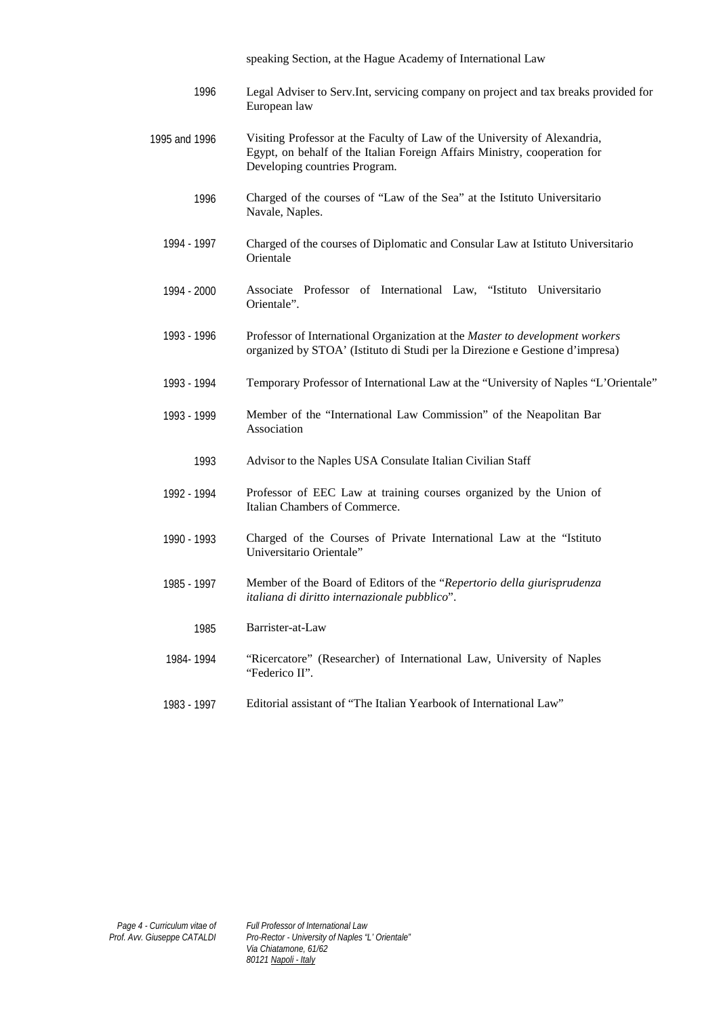speaking Section, at the Hague Academy of International Law

- 1996 Legal Adviser to Serv.Int, servicing company on project and tax breaks provided for European law
- 1995 and 1996 Visiting Professor at the Faculty of Law of the University of Alexandria, Egypt, on behalf of the Italian Foreign Affairs Ministry, cooperation for Developing countries Program.
	- 1996 Charged of the courses of "Law of the Sea" at the Istituto Universitario Navale, Naples.
	- 1994 1997 Charged of the courses of Diplomatic and Consular Law at Istituto Universitario **Orientale**
	- 1994 2000 Associate Professor of International Law, "Istituto Universitario Orientale".
	- 1993 1996 Professor of International Organization at the *Master to development workers* organized by STOA' (Istituto di Studi per la Direzione e Gestione d'impresa)
	- 1993 1994 Temporary Professor of International Law at the "University of Naples "L'Orientale"
	- 1993 1999 Member of the "International Law Commission" of the Neapolitan Bar Association
		- 1993 Advisor to the Naples USA Consulate Italian Civilian Staff
	- 1992 1994 Professor of EEC Law at training courses organized by the Union of Italian Chambers of Commerce.
	- 1990 1993 Charged of the Courses of Private International Law at the "Istituto Universitario Orientale"
	- 1985 1997 Member of the Board of Editors of the "*Repertorio della giurisprudenza italiana di diritto internazionale pubblico*".
		- 1985 Barrister-at-Law
	- 1984- 1994 "Ricercatore" (Researcher) of International Law, University of Naples "Federico II".
	- 1983 1997 Editorial assistant of "The Italian Yearbook of International Law"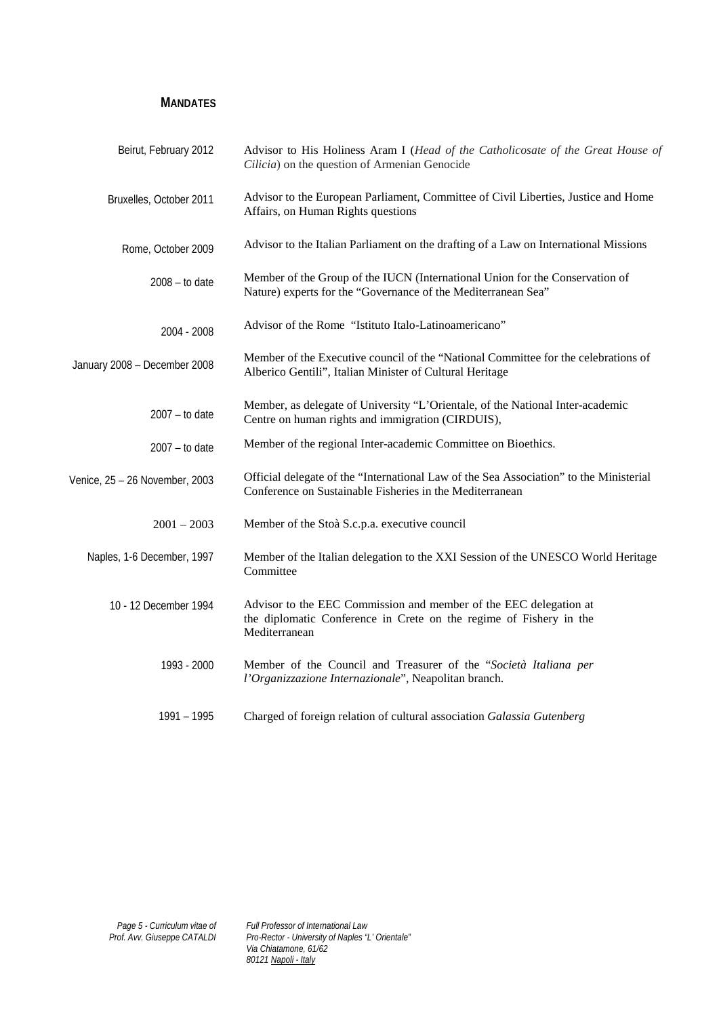**MANDATES**

| Beirut, February 2012          | Advisor to His Holiness Aram I (Head of the Catholicosate of the Great House of<br>Cilicia) on the question of Armenian Genocide                         |
|--------------------------------|----------------------------------------------------------------------------------------------------------------------------------------------------------|
| Bruxelles, October 2011        | Advisor to the European Parliament, Committee of Civil Liberties, Justice and Home<br>Affairs, on Human Rights questions                                 |
| Rome, October 2009             | Advisor to the Italian Parliament on the drafting of a Law on International Missions                                                                     |
| $2008 - to date$               | Member of the Group of the IUCN (International Union for the Conservation of<br>Nature) experts for the "Governance of the Mediterranean Sea"            |
| 2004 - 2008                    | Advisor of the Rome "Istituto Italo-Latinoamericano"                                                                                                     |
| January 2008 - December 2008   | Member of the Executive council of the "National Committee for the celebrations of<br>Alberico Gentili", Italian Minister of Cultural Heritage           |
| $2007 - to date$               | Member, as delegate of University "L'Orientale, of the National Inter-academic<br>Centre on human rights and immigration (CIRDUIS),                      |
| $2007 -$ to date               | Member of the regional Inter-academic Committee on Bioethics.                                                                                            |
| Venice, 25 - 26 November, 2003 | Official delegate of the "International Law of the Sea Association" to the Ministerial<br>Conference on Sustainable Fisheries in the Mediterranean       |
| $2001 - 2003$                  | Member of the Stoà S.c.p.a. executive council                                                                                                            |
| Naples, 1-6 December, 1997     | Member of the Italian delegation to the XXI Session of the UNESCO World Heritage<br>Committee                                                            |
| 10 - 12 December 1994          | Advisor to the EEC Commission and member of the EEC delegation at<br>the diplomatic Conference in Crete on the regime of Fishery in the<br>Mediterranean |
| 1993 - 2000                    | Member of the Council and Treasurer of the "Società Italiana per<br>l'Organizzazione Internazionale", Neapolitan branch.                                 |
| 1991 – 1995                    | Charged of foreign relation of cultural association Galassia Gutenberg                                                                                   |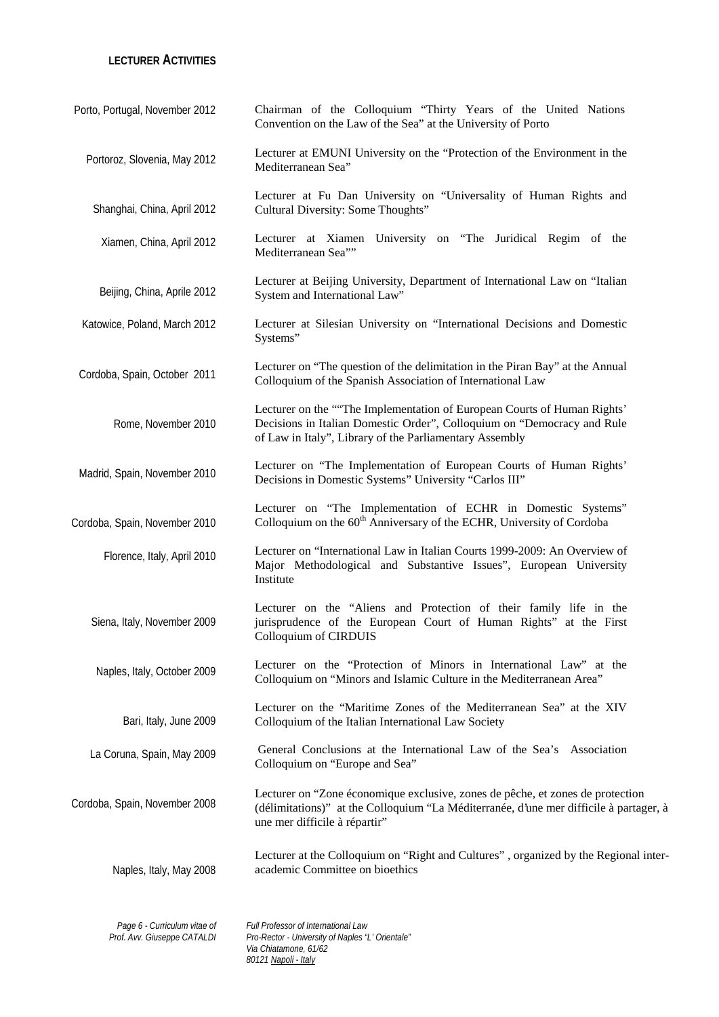#### **LECTURER ACTIVITIES**

| Porto, Portugal, November 2012                              | Chairman of the Colloquium "Thirty Years of the United Nations<br>Convention on the Law of the Sea" at the University of Porto                                                                                 |
|-------------------------------------------------------------|----------------------------------------------------------------------------------------------------------------------------------------------------------------------------------------------------------------|
| Portoroz, Slovenia, May 2012                                | Lecturer at EMUNI University on the "Protection of the Environment in the<br>Mediterranean Sea"                                                                                                                |
| Shanghai, China, April 2012                                 | Lecturer at Fu Dan University on "Universality of Human Rights and<br>Cultural Diversity: Some Thoughts"                                                                                                       |
| Xiamen, China, April 2012                                   | Lecturer at Xiamen University on "The Juridical Regim of the<br>Mediterranean Sea""                                                                                                                            |
| Beijing, China, Aprile 2012                                 | Lecturer at Beijing University, Department of International Law on "Italian<br>System and International Law"                                                                                                   |
| Katowice, Poland, March 2012                                | Lecturer at Silesian University on "International Decisions and Domestic<br>Systems"                                                                                                                           |
| Cordoba, Spain, October 2011                                | Lecturer on "The question of the delimitation in the Piran Bay" at the Annual<br>Colloquium of the Spanish Association of International Law                                                                    |
| Rome, November 2010                                         | Lecturer on the ""The Implementation of European Courts of Human Rights'<br>Decisions in Italian Domestic Order", Colloquium on "Democracy and Rule<br>of Law in Italy", Library of the Parliamentary Assembly |
| Madrid, Spain, November 2010                                | Lecturer on "The Implementation of European Courts of Human Rights'<br>Decisions in Domestic Systems" University "Carlos III"                                                                                  |
| Cordoba, Spain, November 2010                               | Lecturer on "The Implementation of ECHR in Domestic Systems"<br>Colloquium on the 60 <sup>th</sup> Anniversary of the ECHR, University of Cordoba                                                              |
| Florence, Italy, April 2010                                 | Lecturer on "International Law in Italian Courts 1999-2009: An Overview of<br>Major Methodological and Substantive Issues", European University<br>Institute                                                   |
| Siena, Italy, November 2009                                 | Lecturer on the "Aliens and Protection of their family life in the<br>jurisprudence of the European Court of Human Rights" at the First<br>Colloquium of CIRDUIS                                               |
| Naples, Italy, October 2009                                 | Lecturer on the "Protection of Minors in International Law" at the<br>Colloquium on "Minors and Islamic Culture in the Mediterranean Area"                                                                     |
| Bari, Italy, June 2009                                      | Lecturer on the "Maritime Zones of the Mediterranean Sea" at the XIV<br>Colloquium of the Italian International Law Society                                                                                    |
| La Coruna, Spain, May 2009                                  | General Conclusions at the International Law of the Sea's Association<br>Colloquium on "Europe and Sea"                                                                                                        |
| Cordoba, Spain, November 2008                               | Lecturer on "Zone économique exclusive, zones de pêche, et zones de protection<br>(délimitations)" at the Colloquium "La Méditerranée, d'une mer difficile à partager, à<br>une mer difficile à répartir"      |
| Naples, Italy, May 2008                                     | Lecturer at the Colloquium on "Right and Cultures", organized by the Regional inter-<br>academic Committee on bioethics                                                                                        |
| Page 6 - Curriculum vitae of<br>Prof. Avv. Giuseppe CATALDI | Full Professor of International Law<br>Pro-Rector - University of Naples "L' Orientale"<br>Via Chiatamone, 61/62                                                                                               |

*80121 Napoli - Italy*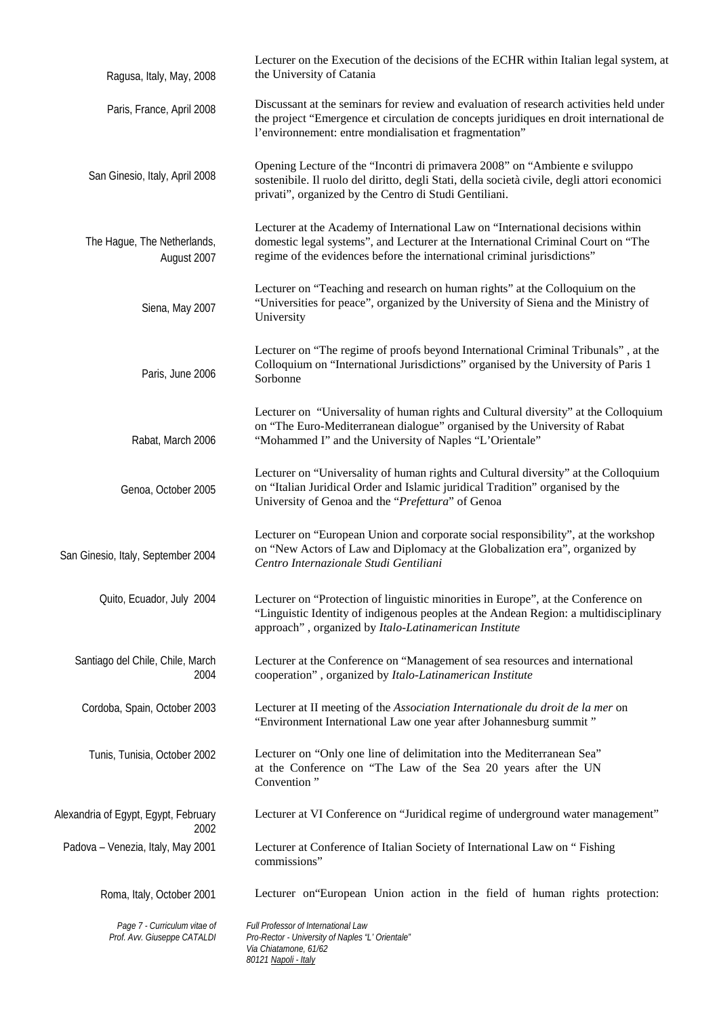| Ragusa, Italy, May, 2008                                    | Lecturer on the Execution of the decisions of the ECHR within Italian legal system, at<br>the University of Catania                                                                                                                              |
|-------------------------------------------------------------|--------------------------------------------------------------------------------------------------------------------------------------------------------------------------------------------------------------------------------------------------|
| Paris, France, April 2008                                   | Discussant at the seminars for review and evaluation of research activities held under<br>the project "Emergence et circulation de concepts juridiques en droit international de<br>l'environnement: entre mondialisation et fragmentation"      |
| San Ginesio, Italy, April 2008                              | Opening Lecture of the "Incontri di primavera 2008" on "Ambiente e sviluppo<br>sostenibile. Il ruolo del diritto, degli Stati, della società civile, degli attori economici<br>privati", organized by the Centro di Studi Gentiliani.            |
| The Hague, The Netherlands,<br>August 2007                  | Lecturer at the Academy of International Law on "International decisions within<br>domestic legal systems", and Lecturer at the International Criminal Court on "The<br>regime of the evidences before the international criminal jurisdictions" |
| Siena, May 2007                                             | Lecturer on "Teaching and research on human rights" at the Colloquium on the<br>"Universities for peace", organized by the University of Siena and the Ministry of<br>University                                                                 |
| Paris, June 2006                                            | Lecturer on "The regime of proofs beyond International Criminal Tribunals", at the<br>Colloquium on "International Jurisdictions" organised by the University of Paris 1<br>Sorbonne                                                             |
| Rabat, March 2006                                           | Lecturer on "Universality of human rights and Cultural diversity" at the Colloquium<br>on "The Euro-Mediterranean dialogue" organised by the University of Rabat<br>"Mohammed I" and the University of Naples "L'Orientale"                      |
| Genoa, October 2005                                         | Lecturer on "Universality of human rights and Cultural diversity" at the Colloquium<br>on "Italian Juridical Order and Islamic juridical Tradition" organised by the<br>University of Genoa and the "Prefettura" of Genoa                        |
| San Ginesio, Italy, September 2004                          | Lecturer on "European Union and corporate social responsibility", at the workshop<br>on "New Actors of Law and Diplomacy at the Globalization era", organized by<br>Centro Internazionale Studi Gentiliani                                       |
| Quito, Ecuador, July 2004                                   | Lecturer on "Protection of linguistic minorities in Europe", at the Conference on<br>"Linguistic Identity of indigenous peoples at the Andean Region: a multidisciplinary<br>approach", organized by Italo-Latinamerican Institute               |
| Santiago del Chile, Chile, March<br>2004                    | Lecturer at the Conference on "Management of sea resources and international<br>cooperation", organized by Italo-Latinamerican Institute                                                                                                         |
| Cordoba, Spain, October 2003                                | Lecturer at II meeting of the Association Internationale du droit de la mer on<br>"Environment International Law one year after Johannesburg summit"                                                                                             |
| Tunis, Tunisia, October 2002                                | Lecturer on "Only one line of delimitation into the Mediterranean Sea"<br>at the Conference on "The Law of the Sea 20 years after the UN<br>Convention"                                                                                          |
| Alexandria of Egypt, Egypt, February<br>2002                | Lecturer at VI Conference on "Juridical regime of underground water management"                                                                                                                                                                  |
| Padova - Venezia, Italy, May 2001                           | Lecturer at Conference of Italian Society of International Law on "Fishing<br>commissions"                                                                                                                                                       |
| Roma, Italy, October 2001                                   | Lecturer on European Union action in the field of human rights protection:                                                                                                                                                                       |
| Page 7 - Curriculum vitae of<br>Prof. Avv. Giuseppe CATALDI | Full Professor of International Law<br>Pro-Rector - University of Naples "L' Orientale"<br>Via Chiatamone, 61/62<br>80121 Napoli - Italy                                                                                                         |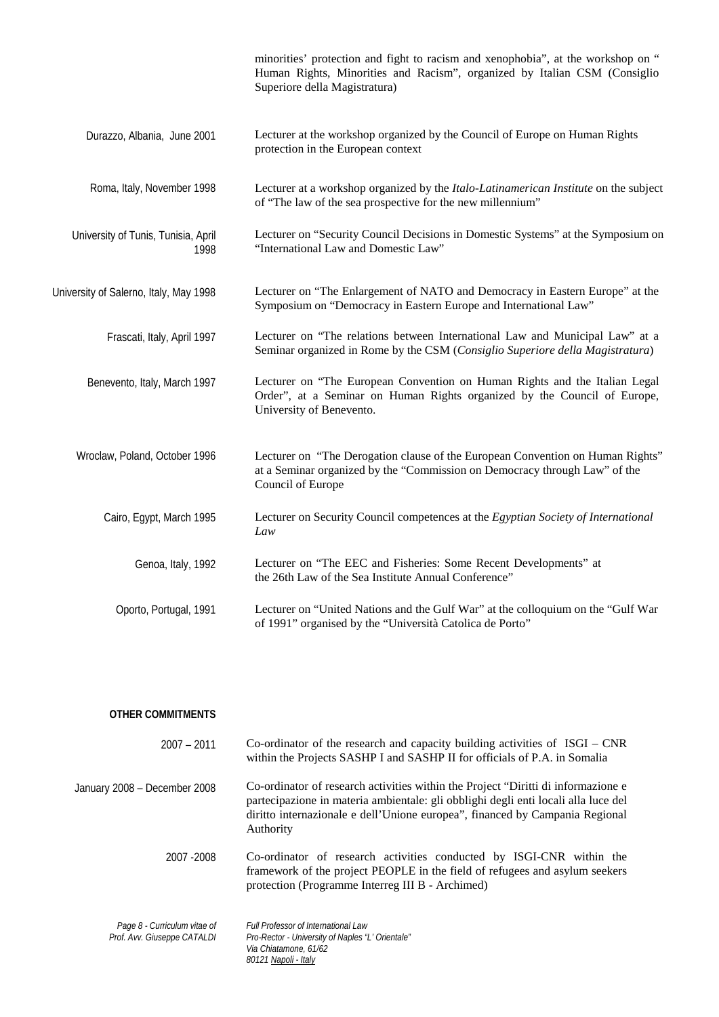|                                             | minorities' protection and fight to racism and xenophobia", at the workshop on "<br>Human Rights, Minorities and Racism", organized by Italian CSM (Consiglio<br>Superiore della Magistratura) |
|---------------------------------------------|------------------------------------------------------------------------------------------------------------------------------------------------------------------------------------------------|
| Durazzo, Albania, June 2001                 | Lecturer at the workshop organized by the Council of Europe on Human Rights<br>protection in the European context                                                                              |
| Roma, Italy, November 1998                  | Lecturer at a workshop organized by the Italo-Latinamerican Institute on the subject<br>of "The law of the sea prospective for the new millennium"                                             |
| University of Tunis, Tunisia, April<br>1998 | Lecturer on "Security Council Decisions in Domestic Systems" at the Symposium on<br>"International Law and Domestic Law"                                                                       |
| University of Salerno, Italy, May 1998      | Lecturer on "The Enlargement of NATO and Democracy in Eastern Europe" at the<br>Symposium on "Democracy in Eastern Europe and International Law"                                               |
| Frascati, Italy, April 1997                 | Lecturer on "The relations between International Law and Municipal Law" at a<br>Seminar organized in Rome by the CSM (Consiglio Superiore della Magistratura)                                  |
| Benevento, Italy, March 1997                | Lecturer on "The European Convention on Human Rights and the Italian Legal<br>Order", at a Seminar on Human Rights organized by the Council of Europe,<br>University of Benevento.             |
| Wroclaw, Poland, October 1996               | Lecturer on "The Derogation clause of the European Convention on Human Rights"<br>at a Seminar organized by the "Commission on Democracy through Law" of the<br>Council of Europe              |
| Cairo, Egypt, March 1995                    | Lecturer on Security Council competences at the Egyptian Society of International<br>Law                                                                                                       |
| Genoa, Italy, 1992                          | Lecturer on "The EEC and Fisheries: Some Recent Developments" at<br>the 26th Law of the Sea Institute Annual Conference"                                                                       |
| Oporto, Portugal, 1991                      | Lecturer on "United Nations and the Gulf War" at the colloquium on the "Gulf War<br>of 1991" organised by the "Università Catolica de Porto"                                                   |
|                                             |                                                                                                                                                                                                |

| OTHER COMMITMENTS                                           |                                                                                                                                                                                                                                                                      |
|-------------------------------------------------------------|----------------------------------------------------------------------------------------------------------------------------------------------------------------------------------------------------------------------------------------------------------------------|
| $2007 - 2011$                                               | Co-ordinator of the research and capacity building activities of $ISGI - CNR$<br>within the Projects SASHP I and SASHP II for officials of P.A. in Somalia                                                                                                           |
| January 2008 – December 2008                                | Co-ordinator of research activities within the Project "Diritti di informazione e<br>partecipazione in materia ambientale: gli obblighi degli enti locali alla luce del<br>diritto internazionale e dell'Unione europea", financed by Campania Regional<br>Authority |
| 2007 - 2008                                                 | Co-ordinator of research activities conducted by ISGI-CNR within the<br>framework of the project PEOPLE in the field of refugees and asylum seekers<br>protection (Programme Interreg III B - Archimed)                                                              |
| Page 8 - Curriculum vitae of<br>Prof. Avv. Giuseppe CATALDI | Full Professor of International Law<br>Pro-Rector - University of Naples "L' Orientale"<br>Via Chiatamone, 61/62<br>80121 Napoli - Italy                                                                                                                             |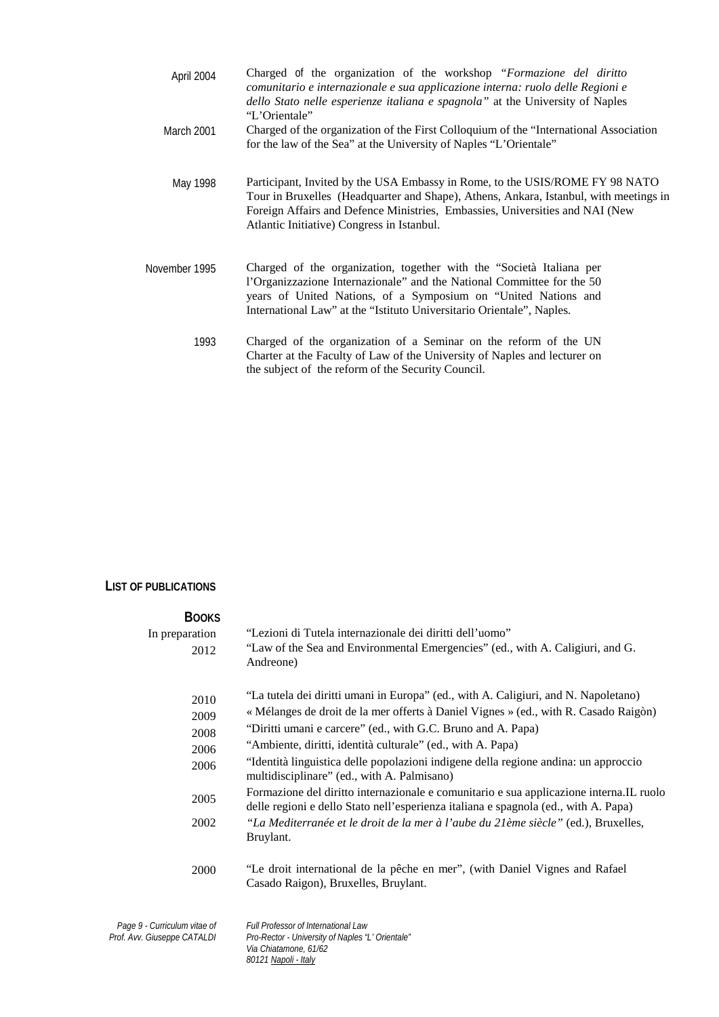| April 2004        | Charged of the organization of the workshop "Formazione del diritto"<br>comunitario e internazionale e sua applicazione interna: ruolo delle Regioni e<br>dello Stato nelle esperienze italiana e spagnola" at the University of Naples<br>"L'Orientale"                                            |
|-------------------|-----------------------------------------------------------------------------------------------------------------------------------------------------------------------------------------------------------------------------------------------------------------------------------------------------|
| <b>March 2001</b> | Charged of the organization of the First Colloquium of the "International Association"<br>for the law of the Sea" at the University of Naples "L'Orientale"                                                                                                                                         |
| May 1998          | Participant, Invited by the USA Embassy in Rome, to the USIS/ROME FY 98 NATO<br>Tour in Bruxelles (Headquarter and Shape), Athens, Ankara, Istanbul, with meetings in<br>Foreign Affairs and Defence Ministries, Embassies, Universities and NAI (New<br>Atlantic Initiative) Congress in Istanbul. |
| November 1995     | Charged of the organization, together with the "Società Italiana per<br>l'Organizzazione Internazionale" and the National Committee for the 50<br>years of United Nations, of a Symposium on "United Nations and<br>International Law" at the "Istituto Universitario Orientale", Naples.           |
| 1993              | Charged of the organization of a Seminar on the reform of the UN                                                                                                                                                                                                                                    |

Charter at the Faculty of Law of the University of Naples and lecturer on

the subject of the reform of the Security Council.

#### **LIST OF PUBLICATIONS**

| <b>BOOKS</b>                                                |                                                                                                                                                                                                                                                                                                            |
|-------------------------------------------------------------|------------------------------------------------------------------------------------------------------------------------------------------------------------------------------------------------------------------------------------------------------------------------------------------------------------|
| In preparation<br>2012                                      | "Lezioni di Tutela internazionale dei diritti dell'uomo"<br>"Law of the Sea and Environmental Emergencies" (ed., with A. Caligiuri, and G.<br>Andreone)                                                                                                                                                    |
| 2010<br>2009<br>2008<br>2006                                | "La tutela dei diritti umani in Europa" (ed., with A. Caligiuri, and N. Napoletano)<br>« Mélanges de droit de la mer offerts à Daniel Vignes » (ed., with R. Casado Raigòn)<br>"Diritti umani e carcere" (ed., with G.C. Bruno and A. Papa)<br>"Ambiente, diritti, identità culturale" (ed., with A. Papa) |
| 2006                                                        | "Identità linguistica delle popolazioni indigene della regione andina: un approccio<br>multidisciplinare" (ed., with A. Palmisano)                                                                                                                                                                         |
| 2005                                                        | Formazione del diritto internazionale e comunitario e sua applicazione interna.IL ruolo<br>delle regioni e dello Stato nell'esperienza italiana e spagnola (ed., with A. Papa)                                                                                                                             |
| 2002                                                        | "La Mediterranée et le droit de la mer à l'aube du 21ème siècle" (ed.), Bruxelles,<br>Bruylant.                                                                                                                                                                                                            |
| 2000                                                        | "Le droit international de la pêche en mer", (with Daniel Vignes and Rafael<br>Casado Raigon), Bruxelles, Bruylant.                                                                                                                                                                                        |
| Page 9 - Curriculum vitae of<br>Prof. Avv. Giuseppe CATALDI | Full Professor of International Law<br>Pro-Rector - University of Naples "L' Orientale"<br>Via Chiatamone, 61/62                                                                                                                                                                                           |

*80121 Napoli - Italy*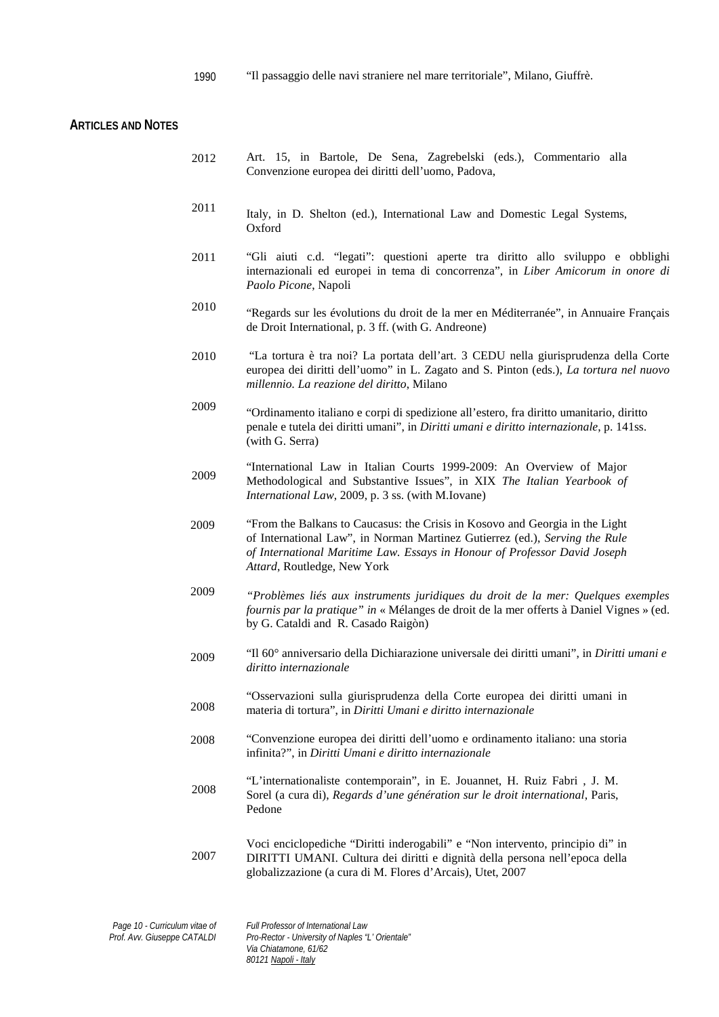1990 "Il passaggio delle navi straniere nel mare territoriale", Milano, Giuffrè.

## **ARTICLES AND NOTES**

| 2012 | Art. 15, in Bartole, De Sena, Zagrebelski (eds.), Commentario alla<br>Convenzione europea dei diritti dell'uomo, Padova,                                                                                                                                                |
|------|-------------------------------------------------------------------------------------------------------------------------------------------------------------------------------------------------------------------------------------------------------------------------|
| 2011 | Italy, in D. Shelton (ed.), International Law and Domestic Legal Systems,<br>Oxford                                                                                                                                                                                     |
| 2011 | "Gli aiuti c.d. "legati": questioni aperte tra diritto allo sviluppo e obblighi<br>internazionali ed europei in tema di concorrenza", in Liber Amicorum in onore di<br>Paolo Picone, Napoli                                                                             |
| 2010 | "Regards sur les évolutions du droit de la mer en Méditerranée", in Annuaire Français<br>de Droit International, p. 3 ff. (with G. Andreone)                                                                                                                            |
| 2010 | "La tortura è tra noi? La portata dell'art. 3 CEDU nella giurisprudenza della Corte<br>europea dei diritti dell'uomo" in L. Zagato and S. Pinton (eds.), La tortura nel nuovo<br>millennio. La reazione del diritto, Milano                                             |
| 2009 | "Ordinamento italiano e corpi di spedizione all'estero, fra diritto umanitario, diritto<br>penale e tutela dei diritti umani", in Diritti umani e diritto internazionale, p. 141ss.<br>(with G. Serra)                                                                  |
| 2009 | "International Law in Italian Courts 1999-2009: An Overview of Major<br>Methodological and Substantive Issues", in XIX The Italian Yearbook of<br>International Law, 2009, p. 3 ss. (with M.Iovane)                                                                     |
| 2009 | "From the Balkans to Caucasus: the Crisis in Kosovo and Georgia in the Light<br>of International Law", in Norman Martinez Gutierrez (ed.), Serving the Rule<br>of International Maritime Law. Essays in Honour of Professor David Joseph<br>Attard, Routledge, New York |
| 2009 | "Problèmes liés aux instruments juridiques du droit de la mer: Quelques exemples<br>fournis par la pratique" in « Mélanges de droit de la mer offerts à Daniel Vignes » (ed.<br>by G. Cataldi and R. Casado Raigòn)                                                     |
| 2009 | "Il 60° anniversario della Dichiarazione universale dei diritti umani", in Diritti umani e<br>diritto internazionale                                                                                                                                                    |
| 2008 | "Osservazioni sulla giurisprudenza della Corte europea dei diritti umani in<br>materia di tortura", in Diritti Umani e diritto internazionale                                                                                                                           |
| 2008 | "Convenzione europea dei diritti dell'uomo e ordinamento italiano: una storia<br>infinita?", in Diritti Umani e diritto internazionale                                                                                                                                  |
| 2008 | "L'internationaliste contemporain", in E. Jouannet, H. Ruiz Fabri, J. M.<br>Sorel (a cura di), Regards d'une génération sur le droit international, Paris,<br>Pedone                                                                                                    |
| 2007 | Voci enciclopediche "Diritti inderogabili" e "Non intervento, principio di" in<br>DIRITTI UMANI. Cultura dei diritti e dignità della persona nell'epoca della<br>globalizzazione (a cura di M. Flores d'Arcais), Utet, 2007                                             |
|      |                                                                                                                                                                                                                                                                         |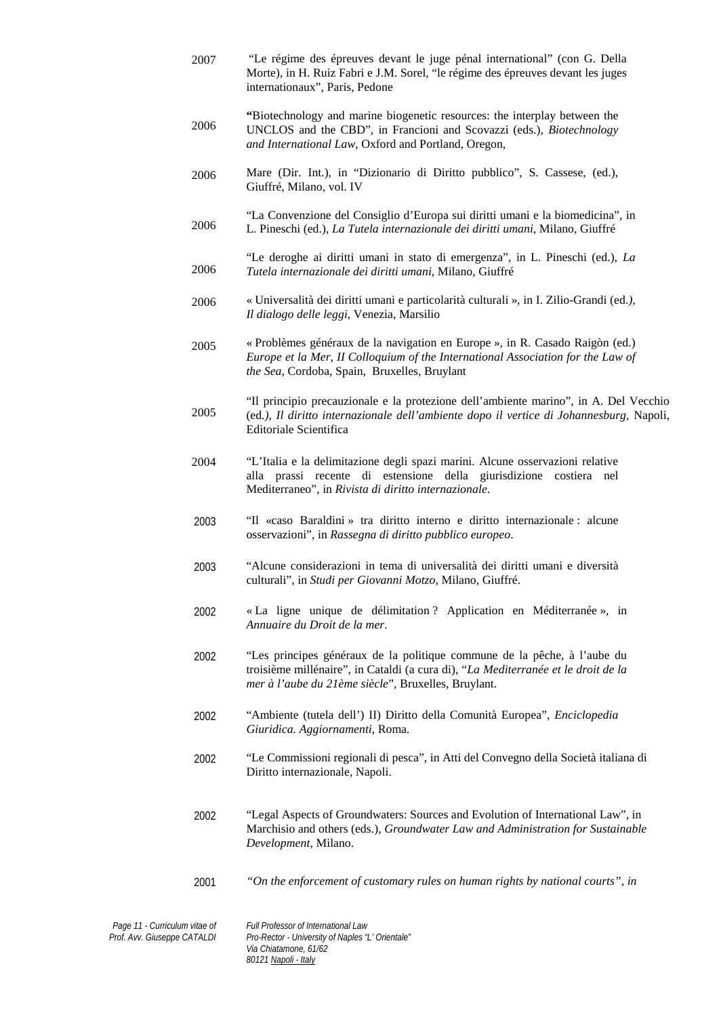| 2007 | "Le régime des épreuves devant le juge pénal international" (con G. Della<br>Morte), in H. Ruiz Fabri e J.M. Sorel, "le régime des épreuves devant les juges<br>internationaux", Paris, Pedone                       |
|------|----------------------------------------------------------------------------------------------------------------------------------------------------------------------------------------------------------------------|
| 2006 | "Biotechnology and marine biogenetic resources: the interplay between the<br>UNCLOS and the CBD", in Francioni and Scovazzi (eds.), Biotechnology<br>and International Law, Oxford and Portland, Oregon,             |
| 2006 | Mare (Dir. Int.), in "Dizionario di Diritto pubblico", S. Cassese, (ed.),<br>Giuffré, Milano, vol. IV                                                                                                                |
| 2006 | "La Convenzione del Consiglio d'Europa sui diritti umani e la biomedicina", in<br>L. Pineschi (ed.), La Tutela internazionale dei diritti umani, Milano, Giuffré                                                     |
| 2006 | "Le deroghe ai diritti umani in stato di emergenza", in L. Pineschi (ed.), La<br>Tutela internazionale dei diritti umani, Milano, Giuffré                                                                            |
| 2006 | « Universalità dei diritti umani e particolarità culturali », in I. Zilio-Grandi (ed.),<br>Il dialogo delle leggi, Venezia, Marsilio                                                                                 |
| 2005 | « Problèmes généraux de la navigation en Europe », in R. Casado Raigòn (ed.)<br>Europe et la Mer, II Colloquium of the International Association for the Law of<br>the Sea, Cordoba, Spain, Bruxelles, Bruylant      |
| 2005 | "Il principio precauzionale e la protezione dell'ambiente marino", in A. Del Vecchio<br>(ed.), Il diritto internazionale dell'ambiente dopo il vertice di Johannesburg, Napoli,<br>Editoriale Scientifica            |
| 2004 | "L'Italia e la delimitazione degli spazi marini. Alcune osservazioni relative<br>alla prassi recente di estensione della giurisdizione costiera nel<br>Mediterraneo", in Rivista di diritto internazionale.          |
| 2003 | "Il «caso Baraldini» tra diritto interno e diritto internazionale : alcune<br>osservazioni", in Rassegna di diritto pubblico europeo.                                                                                |
| 2003 | "Alcune considerazioni in tema di universalità dei diritti umani e diversità<br>culturali", in Studi per Giovanni Motzo, Milano, Giuffré.                                                                            |
| 2002 | « La ligne unique de délimitation ? Application en Méditerranée », in<br>Annuaire du Droit de la mer.                                                                                                                |
| 2002 | "Les principes généraux de la politique commune de la pêche, à l'aube du<br>troisième millénaire", in Cataldi (a cura di), "La Mediterranée et le droit de la<br>mer à l'aube du 21ème siècle", Bruxelles, Bruylant. |
| 2002 | "Ambiente (tutela dell') II) Diritto della Comunità Europea", Enciclopedia<br>Giuridica. Aggiornamenti, Roma.                                                                                                        |
| 2002 | "Le Commissioni regionali di pesca", in Atti del Convegno della Società italiana di<br>Diritto internazionale, Napoli.                                                                                               |
| 2002 | "Legal Aspects of Groundwaters: Sources and Evolution of International Law", in<br>Marchisio and others (eds.), Groundwater Law and Administration for Sustainable<br>Development, Milano.                           |
| 2001 | "On the enforcement of customary rules on human rights by national courts", in                                                                                                                                       |

*Page 11 - Curriculum vitae of Prof. Avv. Giuseppe CATALDI*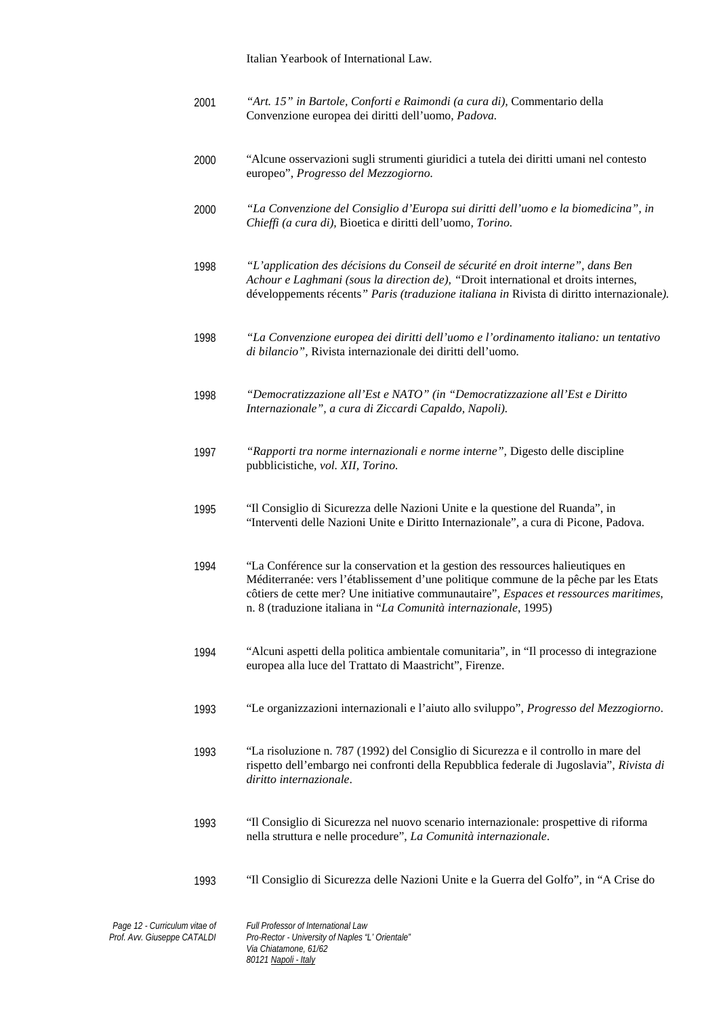Italian Yearbook of International Law*.*

- 2001 *"Art. 15" in Bartole, Conforti e Raimondi (a cura di),* Commentario della Convenzione europea dei diritti dell'uomo*, Padova.*
- 2000 "Alcune osservazioni sugli strumenti giuridici a tutela dei diritti umani nel contesto europeo", *Progresso del Mezzogiorno.*
- 2000 *"La Convenzione del Consiglio d'Europa sui diritti dell'uomo e la biomedicina", in Chieffi (a cura di),* Bioetica e diritti dell'uomo*, Torino.*
- 1998 *"L'application des décisions du Conseil de sécurité en droit interne", dans Ben Achour e Laghmani (sous la direction de), "*Droit international et droits internes, développements récents*" Paris (traduzione italiana in* Rivista di diritto internazionale*).*
- 1998 *"La Convenzione europea dei diritti dell'uomo e l'ordinamento italiano: un tentativo di bilancio",* Rivista internazionale dei diritti dell'uomo*.*
- 1998 *"Democratizzazione all'Est e NATO" (in "Democratizzazione all'Est e Diritto Internazionale", a cura di Ziccardi Capaldo, Napoli).*
- 1997 *"Rapporti tra norme internazionali e norme interne",* Digesto delle discipline pubblicistiche*, vol. XII, Torino.*
- 1995 "Il Consiglio di Sicurezza delle Nazioni Unite e la questione del Ruanda", in "Interventi delle Nazioni Unite e Diritto Internazionale", a cura di Picone, Padova.
- 1994 "La Conférence sur la conservation et la gestion des ressources halieutiques en Méditerranée: vers l'établissement d'une politique commune de la pêche par les Etats côtiers de cette mer? Une initiative communautaire", *Espaces et ressources maritimes*, n. 8 (traduzione italiana in "*La Comunità internazionale*, 1995)
- 1994 "Alcuni aspetti della politica ambientale comunitaria", in "Il processo di integrazione europea alla luce del Trattato di Maastricht", Firenze.
- 1993 "Le organizzazioni internazionali e l'aiuto allo sviluppo", *Progresso del Mezzogiorno*.
- 1993 "La risoluzione n. 787 (1992) del Consiglio di Sicurezza e il controllo in mare del rispetto dell'embargo nei confronti della Repubblica federale di Jugoslavia", *Rivista di diritto internazionale*.
- 1993 "Il Consiglio di Sicurezza nel nuovo scenario internazionale: prospettive di riforma nella struttura e nelle procedure", *La Comunità internazionale*.
- 1993 "Il Consiglio di Sicurezza delle Nazioni Unite e la Guerra del Golfo", in "A Crise do

*Page 12 - Curriculum vitae of Prof. Avv. Giuseppe CATALDI Full Professor of International Law Pro-Rector - University of Naples "L' Orientale" Via Chiatamone, 61/62 80121 Napoli - Italy*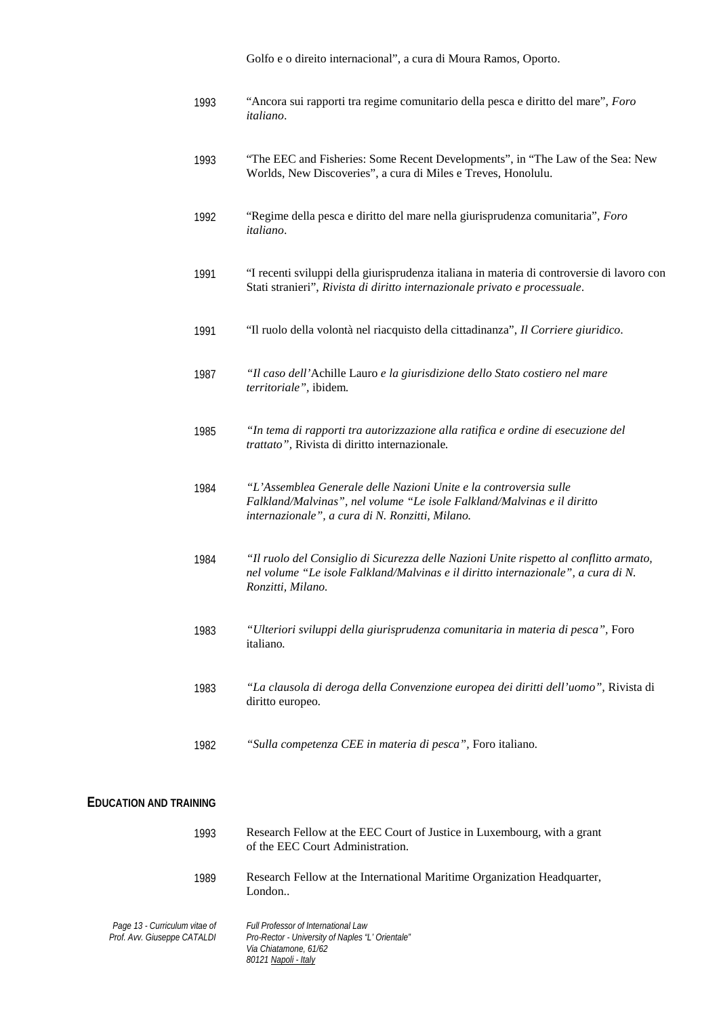Golfo e o direito internacional", a cura di Moura Ramos, Oporto.

| 1993 | "Ancora sui rapporti tra regime comunitario della pesca e diritto del mare", Foro |
|------|-----------------------------------------------------------------------------------|
|      | <i>italiano.</i>                                                                  |

- 1993 "The EEC and Fisheries: Some Recent Developments", in "The Law of the Sea: New Worlds, New Discoveries", a cura di Miles e Treves, Honolulu.
- 1992 "Regime della pesca e diritto del mare nella giurisprudenza comunitaria", *Foro italiano*.
- 1991 "I recenti sviluppi della giurisprudenza italiana in materia di controversie di lavoro con Stati stranieri", *Rivista di diritto internazionale privato e processuale*.
- 1991 "Il ruolo della volontà nel riacquisto della cittadinanza", *Il Corriere giuridico*.
- 1987 *"Il caso dell'*Achille Lauro *e la giurisdizione dello Stato costiero nel mare territoriale",* ibidem*.*
- 1985 *"In tema di rapporti tra autorizzazione alla ratifica e ordine di esecuzione del trattato",* Rivista di diritto internazionale*.*
- 1984 *"L'Assemblea Generale delle Nazioni Unite e la controversia sulle Falkland/Malvinas", nel volume "Le isole Falkland/Malvinas e il diritto internazionale", a cura di N. Ronzitti, Milano.*
- 1984 *"Il ruolo del Consiglio di Sicurezza delle Nazioni Unite rispetto al conflitto armato, nel volume "Le isole Falkland/Malvinas e il diritto internazionale", a cura di N. Ronzitti, Milano.*
- 1983 *"Ulteriori sviluppi della giurisprudenza comunitaria in materia di pesca",* Foro italiano*.*
- 1983 *"La clausola di deroga della Convenzione europea dei diritti dell'uomo",* Rivista di diritto europeo*.*
- 1982 *"Sulla competenza CEE in materia di pesca",* Foro italiano*.*

#### **EDUCATION AND TRAINING**

| 1993                                                         | Research Fellow at the EEC Court of Justice in Luxembourg, with a grant<br>of the EEC Court Administration. |
|--------------------------------------------------------------|-------------------------------------------------------------------------------------------------------------|
| 1989                                                         | Research Fellow at the International Maritime Organization Headquarter,<br>London                           |
| Page 13 - Curriculum vitae of<br>Prof. Avv. Giuseppe CATALDI | Full Professor of International Law<br>Pro-Rector - University of Naples "L' Orientale"                     |

*Via Chiatamone, 61/62 80121 Napoli - Italy*